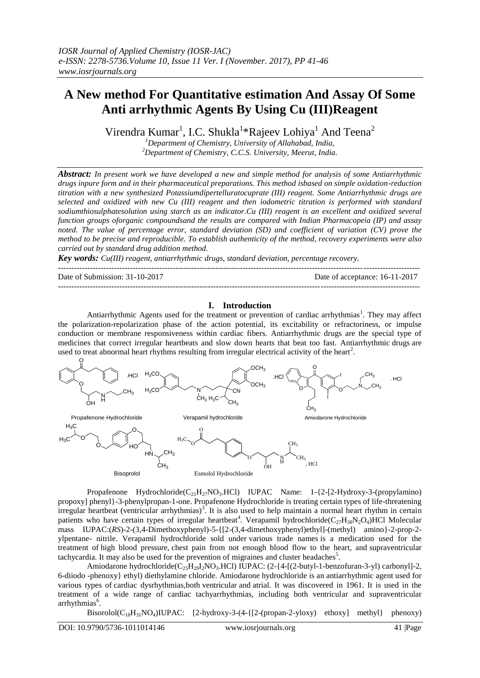# **A New method For Quantitative estimation And Assay Of Some Anti arrhythmic Agents By Using Cu (III)Reagent**

Virendra Kumar<sup>1</sup>, I.C. Shukla<sup>1</sup>\*Rajeev Lohiya<sup>1</sup> And Teena<sup>2</sup>

*<sup>1</sup>Department of Chemistry, University of Allahabad, India, <sup>2</sup>Department of Chemistry, C.C.S. University, Meerut, India.*

*Abstract: In present work we have developed a new and simple method for analysis of some Antiarrhythmic drugs inpure form and in their pharmaceutical preparations. This method isbased on simple oxidation-reduction titration with a new synthesized Potassiumdipertelluratocuprate (III) reagent. Some Antiarrhythmic drugs are selected and oxidized with new Cu (III) reagent and then iodometric titration is performed with standard sodiumthiosulphatesolution using starch as an indicator.Cu (III) reagent is an excellent and oxidized several function groups oforganic compoundsand the results are compared with Indian Pharmacopeia (IP) and assay noted. The value of percentage error, standard deviation (SD) and coefficient of variation (CV) prove the method to be precise and reproducible. To establish authenticity of the method, recovery experiments were also carried out by standard drug addition method.*

*Key words: Cu(III) reagent, antiarrhythmic drugs, standard deviation, percentage recovery.*

--------------------------------------------------------------------------------------------------------------------------------------- Date of Submission: 31-10-2017 Date of acceptance: 16-11-2017

### **I. Introduction**

---------------------------------------------------------------------------------------------------------------------------------------

Antiarrhythmic Agents used for the treatment or prevention of cardiac arrhythmias<sup>1</sup>. They may affect the polarization-repolarization phase of the action potential, its excitability or refractoriness, or impulse conduction or membrane responsiveness within cardiac fibers. Antiarrhythmic drugs are the special type of medicines that correct irregular heartbeats and slow down hearts that beat too fast. Antiarrhythmic drugs are used to treat abnormal heart rhythms resulting from irregular electrical activity of the heart<sup>2</sup>.



Propafenone Hydrochloride( $C_{21}H_{27}NO_3$ .HCl) IUPAC Name: 1-{2-[2-Hydroxy-3-(propylamino) propoxy] phenyl}-3-phenylpropan-1-one. Propafenone Hydrochloride is treating certain types of life-threatening irregular heartbeat (ventricular arrhythmias)<sup>3</sup>. It is also used to help maintain a normal heart rhythm in certain patients who have certain types of irregular heartbeat<sup>4</sup>. Verapamil hydrochloride( $C_{27}H_{38}N_2O_4$ )HCl Molecular mass IUPAC:(*RS*)-2-(3,4-Dimethoxyphenyl)-5-{[2-(3,4-dimethoxyphenyl)ethyl]-(methyl) amino}-2-prop-2 ylpentane- nitrile. Verapamil hydrochloride sold under various trade names is a medication used for the treatment of high blood pressure, chest pain from not enough blood flow to the heart, and supraventricular tachycardia. It may also be used for the prevention of migraines and cluster headaches<sup>5</sup>.

Amiodarone hydrochloride(C<sub>25</sub>H<sub>29</sub>I<sub>2</sub>NO<sub>3</sub>.HCl) IUPAC: (2-{4-[(2-butyl-1-benzofuran-3-yl) carbonyl]-2, 6-diiodo -phenoxy} ethyl) diethylamine chloride. Amiodarone hydrochloride is an antiarrhythmic agent used for various types of cardiac dysrhythmias,both ventricular and atrial. It was discovered in 1961. It is used in the treatment of a wide range of cardiac tachyarrhythmias, including both ventricular and supraventricular arrhythmias<sup>6</sup>.

Bisorolol $(C_{18}H_{31}NO_4)IUPAC$ : [2-hydroxy-3-(4-{[2-(propan-2-yloxy) ethoxy] methyl} phenoxy)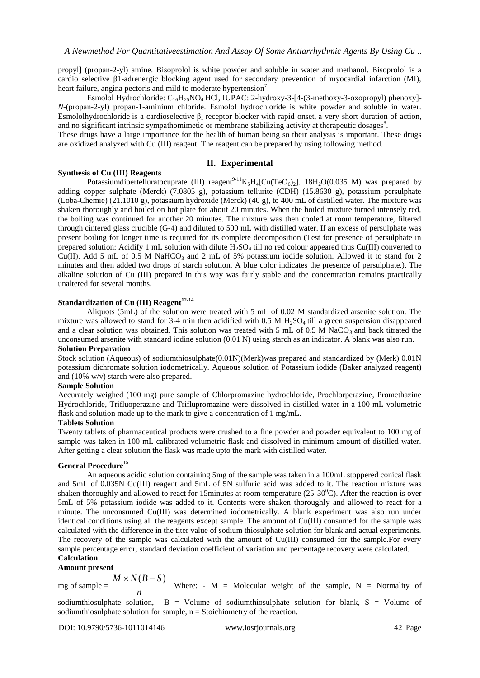propyl] (propan-2-yl) amine. Bisoprolol is white powder and soluble in water and methanol. Bisoprolol is a cardio selective β1-adrenergic blocking agent used for secondary prevention of myocardial infarction (MI), heart failure, angina pectoris and mild to moderate hypertension<sup>7</sup>.

Esmolol Hydrochloride:  $C_{16}H_{25}NO_4$  HCl, IUPAC: 2-hydroxy-3-[4-(3-methoxy-3-oxopropyl) phenoxy]-*N*-(propan-2-yl) propan-1-aminium chloride. Esmolol hydrochloride is white powder and soluble in water. Esmololhydrochloride is a cardioselective  $\beta_1$  receptor blocker with rapid onset, a very short duration of action, and no significant intrinsic sympathomimetic or membrane stabilizing activity at therapeutic dosages<sup>8</sup>.

These drugs have a large importance for the health of human being so their analysis is important. These drugs are oxidized analyzed with Cu (III) reagent. The reagent can be prepared by using following method.

### **II. Experimental**

### **Synthesis of Cu (III) Reagents**

Potassiumdipertelluratocuprate (III) reagent<sup>9-11</sup>K<sub>5</sub>H<sub>4</sub>[Cu(TeO<sub>6</sub>)<sub>2</sub>]. 18H<sub>2</sub>O(0.035 M) was prepared by adding copper sulphate (Merck) (7.0805 g), potassium tellurite (CDH) (15.8630 g), potassium persulphate (Loba-Chemie) (21.1010 g), potassium hydroxide (Merck) (40 g), to 400 mL of distilled water. The mixture was shaken thoroughly and boiled on hot plate for about 20 minutes. When the boiled mixture turned intensely red, the boiling was continued for another 20 minutes. The mixture was then cooled at room temperature, filtered through cintered glass crucible (G-4) and diluted to 500 mL with distilled water. If an excess of persulphate was present boiling for longer time is required for its complete decomposition (Test for presence of persulphate in prepared solution: Acidify 1 mL solution with dilute  $H_2SO_4$  till no red colour appeared thus Cu(III) converted to Cu(II). Add 5 mL of 0.5 M NaHCO<sub>3</sub> and 2 mL of 5% potassium iodide solution. Allowed it to stand for 2 minutes and then added two drops of starch solution. A blue color indicates the presence of persulphate.). The alkaline solution of Cu (III) prepared in this way was fairly stable and the concentration remains practically unaltered for several months.

### **Standardization of Cu (III) Reagent12-14**

Aliquots (5mL) of the solution were treated with 5 mL of 0.02 M standardized arsenite solution. The mixture was allowed to stand for 3-4 min then acidified with  $0.5$  M H<sub>2</sub>SO<sub>4</sub> till a green suspension disappeared and a clear solution was obtained. This solution was treated with 5 mL of 0.5 M NaCO<sub>3</sub> and back titrated the unconsumed arsenite with standard iodine solution (0.01 N) using starch as an indicator. A blank was also run.

### **Solution Preparation**

Stock solution (Aqueous) of sodiumthiosulphate(0.01N)(Merk)was prepared and standardized by (Merk) 0.01N potassium dichromate solution iodometrically. Aqueous solution of Potassium iodide (Baker analyzed reagent) and (10% w/v) starch were also prepared.

### **Sample Solution**

Accurately weighed (100 mg) pure sample of Chlorpromazine hydrochloride, Prochlorperazine, Promethazine Hydrochloride, Trifluoperazine and Triflupromazine were dissolved in distilled water in a 100 mL volumetric flask and solution made up to the mark to give a concentration of 1 mg/mL.

### **Tablets Solution**

Twenty tablets of pharmaceutical products were crushed to a fine powder and powder equivalent to 100 mg of sample was taken in 100 mL calibrated volumetric flask and dissolved in minimum amount of distilled water. After getting a clear solution the flask was made upto the mark with distilled water.

### **General Procedure<sup>15</sup>**

An aqueous acidic solution containing 5mg of the sample was taken in a 100mL stoppered conical flask and 5mL of 0.035N Cu(III) reagent and 5mL of 5N sulfuric acid was added to it. The reaction mixture was shaken thoroughly and allowed to react for 15minutes at room temperature ( $25{\text -}30^{\circ}$ C). After the reaction is over 5mL of 5% potassium iodide was added to it. Contents were shaken thoroughly and allowed to react for a minute. The unconsumed Cu(III) was determined iodometrically. A blank experiment was also run under identical conditions using all the reagents except sample. The amount of Cu(III) consumed for the sample was calculated with the difference in the titer value of sodium thiosulphate solution for blank and actual experiments. The recovery of the sample was calculated with the amount of Cu(III) consumed for the sample.For every sample percentage error, standard deviation coefficient of variation and percentage recovery were calculated.

## **Calculation**

# **Amount present**

mg of sample  $=$   $\frac{1}{n}$  $M \times N(B-S)$  Where: - M = Molecular weight of the sample, N = Normality of

sodiumthiosulphate solution, B = Volume of sodiumthiosulphate solution for blank, S = Volume of sodiumthiosulphate solution for sample,  $n =$  Stoichiometry of the reaction.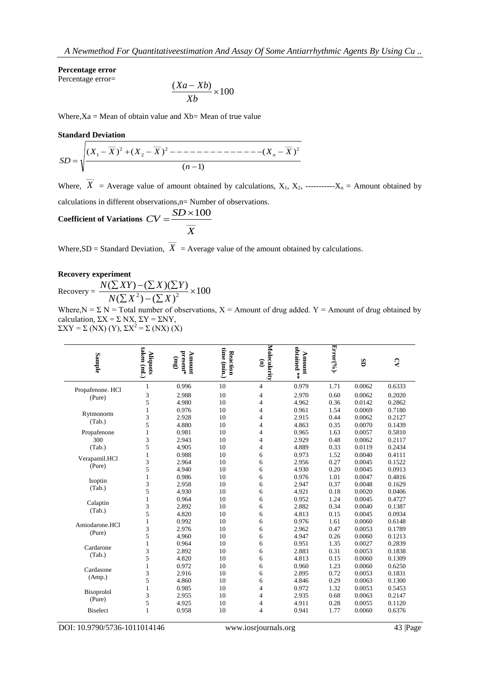### **Percentage error**

Percentage error=

$$
\frac{(Xa - Xb)}{Xb} \times 100
$$

Where, $Xa = Me$ an of obtain value and  $Xb = Me$ an of true value

#### **Standard Deviation**

$$
SD = \sqrt{\frac{(X_1 - \overline{X})^2 + (X_2 - \overline{X})^2 - \dots - \dots - \dots - (X_n - \overline{X})^2}{(n-1)}}
$$

Where,  $\overline{X}$  = Average value of amount obtained by calculations,  $X_1, X_2,$  ------------ $X_n$  = Amount obtained by calculations in different observations,n= Number of observations.

Coefficient of Variations 
$$
CV = \frac{SD \times 100}{\overline{X}}
$$

Where,SD = Standard Deviation,  $\overline{X}$  = Average value of the amount obtained by calculations.

### **Recovery experiment**

Recovery =  $\frac{N(\sum XI)^2 (N(\sum Y))^2}{N(\sum X)^2 (N(\sum Y))^2} \times 100$  $(\sum X^2) - (\sum X)$  $(\sum XY)-(\sum X)(\sum Y)$  $\frac{(\sum X)(\sum Y)}{2} \times$  $\sum X^2$ ) – ( $\sum$  $\sum XY$ ) – $(\sum X)(\sum$  $N(\sum X^2) - (\sum X$  $N(\sum XY) - (\sum X)(\sum Y)$ 

Where,  $N = \sum N =$  Total number of observations,  $X =$  Amount of drug added. Y = Amount of drug obtained by calculation,  $\Sigma X = \Sigma N X$ ,  $\Sigma Y = \Sigma N Y$ ,  $\Sigma XY = \Sigma (NX) (Y), \Sigma X^2 = \Sigma (NX) (X)$ 

| <b>Sample</b>       | taken (mL)<br>Aliquots | present*<br>Amount<br>(3u) | time (min.)<br>Reaction | Molecularity<br>$\mathbf{\widehat{E}}$ | obtained **<br>Amount | $\text{Error}^{(96)}$ . | GS     | $\Omega$ |
|---------------------|------------------------|----------------------------|-------------------------|----------------------------------------|-----------------------|-------------------------|--------|----------|
| Propafenone. HCl    | 1                      | 0.996                      | 10                      | 4                                      | 0.979                 | 1.71                    | 0.0062 | 0.6333   |
| (Pure)              | 3                      | 2.988                      | 10                      | 4                                      | 2.970                 | 0.60                    | 0.0062 | 0.2020   |
|                     | 5                      | 4.980                      | 10                      | 4                                      | 4.962                 | 0.36                    | 0.0142 | 0.2862   |
|                     | $\mathbf{1}$           | 0.976                      | 10                      | $\overline{4}$                         | 0.961                 | 1.54                    | 0.0069 | 0.7180   |
| Rytmonorm<br>(Tab.) | 3                      | 2.928                      | 10                      | $\overline{4}$                         | 2.915                 | 0.44                    | 0.0062 | 0.2127   |
|                     | 5                      | 4.880                      | 10                      | $\overline{4}$                         | 4.863                 | 0.35                    | 0.0070 | 0.1439   |
| Propafenone         | $\mathbf{1}$           | 0.981                      | 10                      | $\overline{4}$                         | 0.965                 | 1.63                    | 0.0057 | 0.5810   |
| 300                 | 3                      | 2.943                      | 10                      | 4                                      | 2.929                 | 0.48                    | 0.0062 | 0.2117   |
| (Tab.)              | 5                      | 4.905                      | 10                      | $\overline{4}$                         | 4.889                 | 0.33                    | 0.0119 | 0.2434   |
|                     | 1                      | 0.988                      | 10                      | 6                                      | 0.973                 | 1.52                    | 0.0040 | 0.4111   |
| Verapamil.HCl       | 3                      | 2.964                      | 10                      | 6                                      | 2.956                 | 0.27                    | 0.0045 | 0.1522   |
| (Pure)              | 5                      | 4.940                      | 10                      | 6                                      | 4.930                 | 0.20                    | 0.0045 | 0.0913   |
|                     | $\mathbf{1}$           | 0.986                      | 10                      | 6                                      | 0.976                 | 1.01                    | 0.0047 | 0.4816   |
| Isoptin             | 3                      | 2.958                      | 10                      | 6                                      | 2.947                 | 0.37                    | 0.0048 | 0.1629   |
| (Tab.)              | 5                      | 4.930                      | 10                      | 6                                      | 4.921                 | 0.18                    | 0.0020 | 0.0406   |
|                     | $\mathbf{1}$           | 0.964                      | 10                      | 6                                      | 0.952                 | 1.24                    | 0.0045 | 0.4727   |
| Calaptin            | 3                      | 2.892                      | 10                      | 6                                      | 2.882                 | 0.34                    | 0.0040 | 0.1387   |
| (Tab.)              | 5                      | 4.820                      | 10                      | 6                                      | 4.813                 | 0.15                    | 0.0045 | 0.0934   |
|                     | $\mathbf{1}$           | 0.992                      | 10                      | 6                                      | 0.976                 | 1.61                    | 0.0060 | 0.6148   |
| Amiodarone.HCl      | 3                      | 2.976                      | 10                      | 6                                      | 2.962                 | 0.47                    | 0.0053 | 0.1789   |
| (Pure)              | 5                      | 4.960                      | 10                      | 6                                      | 4.947                 | 0.26                    | 0.0060 | 0.1213   |
|                     | $\mathbf{1}$           | 0.964                      | 10                      | 6                                      | 0.951                 | 1.35                    | 0.0027 | 0.2839   |
| Cardarone           | 3                      | 2.892                      | 10                      | 6                                      | 2.883                 | 0.31                    | 0.0053 | 0.1838   |
| (Tab.)              | 5                      | 4.820                      | 10                      | 6                                      | 4.813                 | 0.15                    | 0.0060 | 0.1309   |
|                     | $\mathbf{1}$           | 0.972                      | 10                      | 6                                      | 0.960                 | 1.23                    | 0.0060 | 0.6250   |
| Cardasone           | 3                      | 2.916                      | 10                      | 6                                      | 2.895                 | 0.72                    | 0.0053 | 0.1831   |
| (Amp.)              | 5                      | 4.860                      | 10                      | 6                                      | 4.846                 | 0.29                    | 0.0063 | 0.1300   |
|                     | $\mathbf{1}$           | 0.985                      | 10                      | $\overline{4}$                         | 0.972                 | 1.32                    | 0.0053 | 0.5453   |
| Bisoprolol          | 3                      | 2.955                      | 10                      | 4                                      | 2.935                 | 0.68                    | 0.0063 | 0.2147   |
| (Pure)              | 5                      | 4.925                      | 10                      | 4                                      | 4.911                 | 0.28                    | 0.0055 | 0.1120   |
| <b>Biselect</b>     | 1                      | 0.958                      | 10                      | 4                                      | 0.941                 | 1.77                    | 0.0060 | 0.6376   |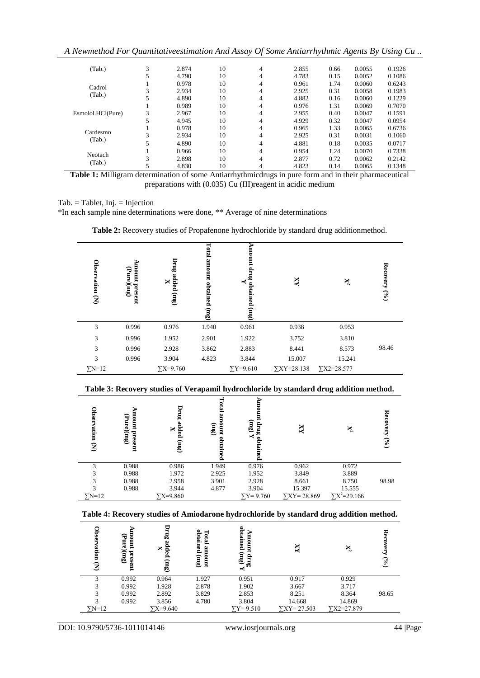*A Newmethod For Quantitativeestimation And Assay Of Some Antiarrhythmic Agents By Using Cu ..*

| (Tab.)            | 3 | 2.874 | 10 | 4              | 2.855 | 0.66 | 0.0055 | 0.1926 |
|-------------------|---|-------|----|----------------|-------|------|--------|--------|
|                   |   | 4.790 | 10 | $\overline{4}$ | 4.783 | 0.15 | 0.0052 | 0.1086 |
|                   |   | 0.978 | 10 | 4              | 0.961 | 1.74 | 0.0060 | 0.6243 |
| Cadrol            | 3 | 2.934 | 10 | 4              | 2.925 | 0.31 | 0.0058 | 0.1983 |
| (Tab.)            |   | 4.890 | 10 | 4              | 4.882 | 0.16 | 0.0060 | 0.1229 |
|                   |   | 0.989 | 10 | 4              | 0.976 | 1.31 | 0.0069 | 0.7070 |
| Esmolol.HCl(Pure) | 3 | 2.967 | 10 | 4              | 2.955 | 0.40 | 0.0047 | 0.1591 |
|                   |   | 4.945 | 10 | 4              | 4.929 | 0.32 | 0.0047 | 0.0954 |
|                   |   | 0.978 | 10 | 4              | 0.965 | 1.33 | 0.0065 | 0.6736 |
| Cardesmo          | 3 | 2.934 | 10 | 4              | 2.925 | 0.31 | 0.0031 | 0.1060 |
| (Tab.)            |   | 4.890 | 10 | 4              | 4.881 | 0.18 | 0.0035 | 0.0717 |
|                   |   | 0.966 | 10 | 4              | 0.954 | 1.24 | 0.0070 | 0.7338 |
| Neotach           | 3 | 2.898 | 10 | 4              | 2.877 | 0.72 | 0.0062 | 0.2142 |
| (Tab.)            |   | 4.830 | 10 | 4              | 4.823 | 0.14 | 0.0065 | 0.1348 |

**Table 1:** Milligram determination of some Antiarrhythmicdrugs in pure form and in their pharmaceutical preparations with (0.035) Cu (III)reagent in acidic medium

### $Tab = Tablet$ , Inj. = Injection

\*In each sample nine determinations were done, \*\* Average of nine determinations

| Observation (N) | Amount<br>(Func(mg))<br>present | Drug added (mg)<br>× | Total amount obtained<br>3m | ₩<br>ount drug<br>К<br>obtained<br>3m | $\overline{X}$       | $\mathbf{X}^2$       | Recovery $(°0)$ |
|-----------------|---------------------------------|----------------------|-----------------------------|---------------------------------------|----------------------|----------------------|-----------------|
| 3               | 0.996                           | 0.976                | 1.940                       | 0.961                                 | 0.938                | 0.953                |                 |
| 3               | 0.996                           | 1.952                | 2.901                       | 1.922                                 | 3.752                | 3.810                |                 |
| 3               | 0.996                           | 2.928                | 3.862                       | 2.883                                 | 8.441                | 8.573                | 98.46           |
| 3               | 0.996                           | 3.904                | 4.823                       | 3.844                                 | 15.007               | 15.241               |                 |
| $\Sigma N=12$   |                                 | $\Sigma X = 9.760$   |                             | $\Sigma$ Y=9.610                      | $\Sigma XY = 28.138$ | $\Sigma X2 = 28.577$ |                 |

**Table 2:** Recovery studies of Propafenone hydrochloride by standard drug additionmethod.

**Table 3: Recovery studies of Verapamil hydrochloride by standard drug addition method.**

| Obser<br>vation<br>$\mathbf{\widehat{z}}$ | ъ<br>umour<br>ਚਿ<br>ang.<br>present<br>(au) | 염<br>ص<br>dded<br>×<br>$\mathbf{m}$ | <b>Total</b><br>Ë<br>humor<br>(mg)<br>0<br>pained | ኈ<br>$\mathbf{f}(\mathbf{m})$<br>ធី<br>$\prec$<br>0<br>z. | $\overline{\text{XX}}$ | $\mathbb{X}^2$        | ≂<br>$\mathbf{H}$<br>$\mathcal{S}^{(0)}$ |
|-------------------------------------------|---------------------------------------------|-------------------------------------|---------------------------------------------------|-----------------------------------------------------------|------------------------|-----------------------|------------------------------------------|
|                                           | 0.988                                       | 0.986                               | 1.949                                             | 0.976                                                     | 0.962                  | 0.972                 |                                          |
| 3                                         | 0.988                                       | 1.972                               | 2.925                                             | 1.952                                                     | 3.849                  | 3.889                 |                                          |
| 3                                         | 0.988                                       | 2.958                               | 3.901                                             | 2.928                                                     | 8.661                  | 8.750                 | 98.98                                    |
| 3                                         | 0.988                                       | 3.944                               | 4.877                                             | 3.904                                                     | 15.397                 | 15.555                |                                          |
| $\Sigma N=12$                             |                                             | $\sqrt{X} = 9.860$                  |                                                   | $\Sigma$ Y=9.760                                          | $YXY = 28.869$         | $\Sigma X^2 = 29.166$ |                                          |

**Table 4: Recovery studies of Amiodarone hydrochloride by standard drug addition method.**

| Obser<br>ation<br>3 | ъ<br>-<br>(Pure)<br>1uur<br>present<br>3 <sub>u</sub> | ដឹ<br>£<br>×<br>(m) | 0<br>btain<br>퇻<br>ā<br>3 <sub>cm</sub><br>具 | obtained<br>umo<br>3 <sub>cm</sub><br>anap<br>K | $\overline{X}$     | $X^2$              | 7.<br>ery<br>$\mathcal{S}^{(0)}$ |
|---------------------|-------------------------------------------------------|---------------------|----------------------------------------------|-------------------------------------------------|--------------------|--------------------|----------------------------------|
| 3                   | 0.992                                                 | 0.964               | 1.927                                        | 0.951                                           | 0.917              | 0.929              |                                  |
| 3                   | 0.992                                                 | 1.928               | 2.878                                        | 1.902                                           | 3.667              | 3.717              |                                  |
| 3                   | 0.992                                                 | 2.892               | 3.829                                        | 2.853                                           | 8.251              | 8.364              | 98.65                            |
| 3                   | 0.992                                                 | 3.856               | 4.780                                        | 3.804                                           | 14.668             | 14.869             |                                  |
| $\Sigma N=12$       |                                                       | $\Sigma = 9.640$    |                                              | $\Sigma$ Y=9.510                                | $\sum XY = 27.503$ | $\Sigma$ X2=27.879 |                                  |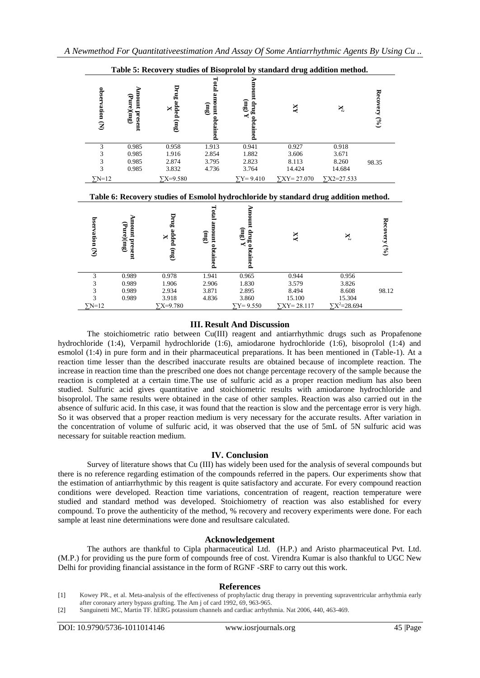|                    |                              | Table 5: Recovery studies of Bisoprolol by standard drug addition method. |                                          |                                            |                                                                                      |                                 |                 |
|--------------------|------------------------------|---------------------------------------------------------------------------|------------------------------------------|--------------------------------------------|--------------------------------------------------------------------------------------|---------------------------------|-----------------|
| observation (N)    | Amount present<br>(Pure)(mg) | Drug added (mg)<br>X                                                      | Total amount obtained<br>$\lim_{\delta}$ | Amount drug obtained<br>3 <sub>u</sub>     | $\overline{X}$                                                                       | $\mathbf{X}^2$                  | Recovery (%)    |
| 3                  | 0.985                        | 0.958                                                                     | 1.913                                    | 0.941                                      | 0.927                                                                                | 0.918                           |                 |
| 3                  | 0.985                        | 1.916                                                                     | 2.854                                    | 1.882                                      | 3.606                                                                                | 3.671                           |                 |
| 3                  | 0.985                        | 2.874                                                                     | 3.795                                    | 2.823                                      | 8.113                                                                                | 8.260                           | 98.35           |
| 3                  | 0.985                        | 3.832                                                                     | 4.736                                    | 3.764                                      | 14.424                                                                               | 14.684                          |                 |
| $\Sigma N=12$      |                              |                                                                           |                                          | $\Sigma$ Y=9.410                           | $\Sigma XY = 27.070$                                                                 | $YX2=27.533$                    |                 |
|                    |                              | $\Sigma X = 9.580$                                                        |                                          |                                            |                                                                                      |                                 |                 |
|                    |                              |                                                                           |                                          |                                            | Table 6: Recovery studies of Esmolol hydrochloride by standard drug addition method. |                                 |                 |
| bservation (N)     | Amount present<br>(Func)     | Drug added (mg)<br>X                                                      | Total amount obtained<br>3u              | Amount drug obtained<br>$\Lambda$ (3<br>m) | XX                                                                                   | X                               | Recovery $(°0)$ |
| 3                  | 0.989                        | 0.978                                                                     | 1.941                                    | 0.965                                      | 0.944                                                                                | 0.956                           |                 |
| 3                  | 0.989                        | 1.906                                                                     | 2.906                                    | 1.830                                      | 3.579                                                                                | 3.826                           |                 |
| 3                  | 0.989                        | 2.934                                                                     | 3.871                                    | 2.895                                      | 8.494                                                                                | 8.608                           | 98.12           |
| 3<br>$\Sigma N=12$ | 0.989                        | 3.918<br>$\Sigma X = 9.780$                                               | 4.836                                    | 3.860<br>$\sum Y = 9.550$                  | 15.100<br>$\sum XY = 28.117$                                                         | 15.304<br>$\Sigma X^2 = 28.694$ |                 |

### **III. Result And Discussion**

The stoichiometric ratio between Cu(III) reagent and antiarrhythmic drugs such as Propafenone hydrochloride (1:4), Verpamil hydrochloride (1:6), amiodarone hydrochloride (1:6), bisoprolol (1:4) and esmolol (1:4) in pure form and in their pharmaceutical preparations. It has been mentioned in (Table-1). At a reaction time lesser than the described inaccurate results are obtained because of incomplete reaction. The increase in reaction time than the prescribed one does not change percentage recovery of the sample because the reaction is completed at a certain time.The use of sulfuric acid as a proper reaction medium has also been studied. Sulfuric acid gives quantitative and stoichiometric results with amiodarone hydrochloride and bisoprolol. The same results were obtained in the case of other samples. Reaction was also carried out in the absence of sulfuric acid. In this case, it was found that the reaction is slow and the percentage error is very high. So it was observed that a proper reaction medium is very necessary for the accurate results. After variation in the concentration of volume of sulfuric acid, it was observed that the use of 5mL of 5N sulfuric acid was necessary for suitable reaction medium.

### **IV. Conclusion**

Survey of literature shows that Cu (III) has widely been used for the analysis of several compounds but there is no reference regarding estimation of the compounds referred in the papers. Our experiments show that the estimation of antiarrhythmic by this reagent is quite satisfactory and accurate. For every compound reaction conditions were developed. Reaction time variations, concentration of reagent, reaction temperature were studied and standard method was developed. Stoichiometry of reaction was also established for every compound. To prove the authenticity of the method, % recovery and recovery experiments were done. For each sample at least nine determinations were done and resultsare calculated.

#### **Acknowledgement**

The authors are thankful to Cipla pharmaceutical Ltd. (H.P.) and Aristo pharmaceutical Pvt. Ltd. (M.P.) for providing us the pure form of compounds free of cost. Virendra Kumar is also thankful to UGC New Delhi for providing financial assistance in the form of RGNF -SRF to carry out this work.

#### **References**

<sup>[1]</sup> Kowey PR., et al. Meta-analysis of the effectiveness of prophylactic drug therapy in preventing supraventricular arrhythmia early after coronary artery bypass grafting. The Am j of card 1992, 69, 963-965.

<sup>[2]</sup> Sanguinetti MC, Martin TF. hERG potassium channels and cardiac arrhythmia. Nat 2006, 440, 463-469.